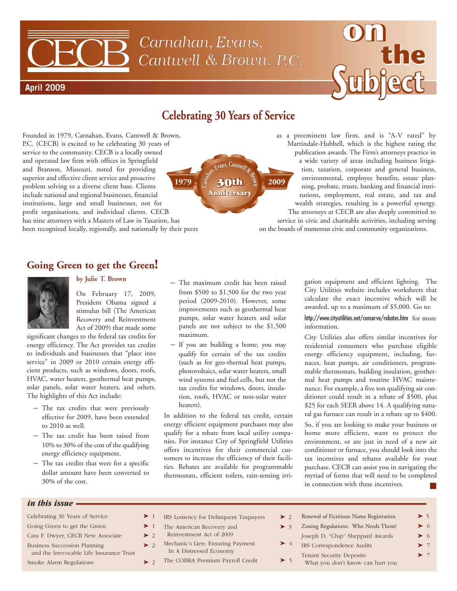# Carnahan, Evans, Cantwell & Brown, P.C.



## **Celebrating 30 Years of Service**

**Carnan, <sup>E</sup>van,C<sup>a</sup>ntw<sup>l</sup> & <sup>r</sup>ow<sup>n</sup>**

**Anniversary Anniversary 30th**

Founded in 1979, Carnahan, Evans, Cantwell & Brown, P.C. (CECB) is excited to be celebrating 30 years of service to the community. CECB is a locally owned and operated law firm with offices in Springfield and Branson, Missouri, noted for providing superior and effective client service and proactive problem solving to a diverse client base. Clients include national and regional businesses, financial institutions, large and small businesses, not for profit organizations, and individual clients. CECB has nine attorneys with a Masters of Law in Taxation, has been recognized locally, regionally, and nationally by their peers **1979** 30th 2009

as a preeminent law firm, and is "A-V rated" by Martindale-Hubbell, which is the highest rating the publication awards. The Firm's attorneys practice in a wide variety of areas including business litigation, taxation, corporate and general business, environmental, employee benefits, estate planning, probate, trusts, banking and financial institutions, employment, real estate, and tax and wealth strategies, resulting in a powerful synergy. The attorneys at CECB are also deeply committed to

service in civic and charitable activities, including serving on the boards of numerous civic and community organizations.

### **Going Green to get the Green!**



**April 2009**

#### **by Julie T. Brown**

On February 17, 2009, President Obama signed a stimulus bill (The American Recovery and Reinvestment Act of 2009) that made some

significant changes to the federal tax credits for energy efficiency. The Act provides tax credits to individuals and businesses that "place into service" in 2009 or 2010 certain energy efficient products, such as windows, doors, roofs, HVAC, water heaters, geothermal heat pumps, solar panels, solar water heaters, and others. The highlights of this Act include:

- The tax credits that were previously effective for 2009, have been extended to 2010 as well.
- The tax credit has been raised from 10% to 30% of the cost of the qualifying energy efficiency equipment.
- The tax credits that were for a specific dollar amount have been converted to 30% of the cost.
- The maximum credit has been raised from \$500 to \$1,500 for the two year period (2009-2010). However, some improvements such as geothermal heat pumps, solar water heaters and solar panels are not subject to the \$1,500 maximum.
- If you are building a home, you may qualify for certain of the tax credits (such as for geo-thermal heat pumps, photovoltaics, solar water heaters, small wind systems and fuel cells, but not the tax credits for windows, doors, insulation, roofs, HVAC or non-solar water heaters).

In addition to the federal tax credit, certain energy efficient equipment purchases may also qualify for a rebate from local utility companies. For instance City of Springfield Utilities offers incentives for their commercial customers to increase the efficiency of their facilities. Rebates are available for programmable thermostats, efficient toilets, rain-sensing irrigation equipment and efficient lighting. The City Utilities website includes worksheets that calculate the exact incentive which will be awarded, up to a maximum of \$5,000. Go to:

#### http://www.cityutilities.net/conserve/rebates.htm for more information.

City Utilities also offers similar incentives for residential consumers who purchase eligible energy efficiency equipment, including, furnaces, heat pumps, air conditioners, programmable thermostats, building insulation, geothermal heat pumps and routine HVAC maintenance. For example, a five ton qualifying air conditioner could result in a rebate of \$500, plus \$25 for each SEER above 14. A qualifying natural gas furnace can result in a rebate up to \$400.

So, if you are looking to make your business or home more efficient, want to protect the environment, or are just in need of a new air conditioner or furnace, you should look into the tax incentives and rebates available for your purchase. CECB can assist you in navigating the myriad of forms that will need to be completed in connection with these incentives. **■**

#### *in this issue*

| Celebrating 30 Years of Service                                          | $\geq 1$ |               |
|--------------------------------------------------------------------------|----------|---------------|
| Going Green to get the Green                                             | $\geq 1$ |               |
| Cara F. Dwyer, CECB New Associate                                        | $\geq$ 2 |               |
| Business Succession Planning<br>and the Irrevocable Life Insurance Trust | $\geq$ 2 |               |
| Smoke Alarm Regulations                                                  |          | $\mathcal{D}$ |

- IRS Leniency for Delinquent Taxpayers **➤** 2
- The American Recovery and **➤** 3 Reinvestment Act of 2009
	- Mechanic's Lien: Ensuring Payment
- In A Distressed Economy
	- The COBRA Premium Payroll Credit **➤** 5
- Renewal of Fictitious Name Registration **➤** 5 Zoning Regulations: Who Needs Them? **➤** 6 Joseph D. "Chip" Sheppard Awards **➤** 6 IRS Correspondence Audits **➤** 7 **Tenant Security Deposits** What you don't know can hurt you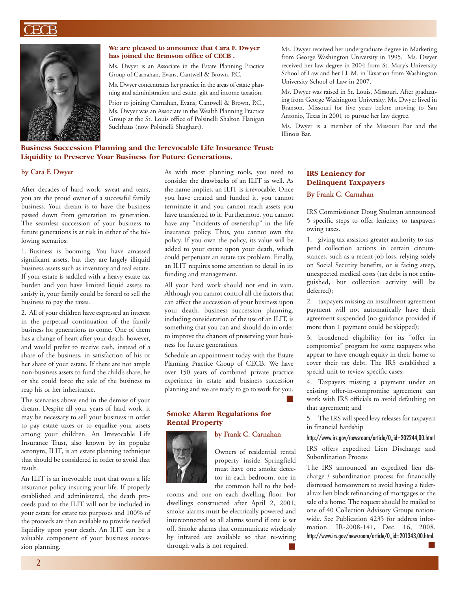

#### **We are pleased to announce that Cara F. Dwyer has joined the Branson office of CECB .**

Ms. Dwyer is an Associate in the Estate Planning Practice Group of Carnahan, Evans, Cantwell & Brown, P.C.

Ms. Dwyer concentrates her practice in the areas of estate planning and administration and estate, gift and income taxation.

Prior to joining Carnahan, Evans, Cantwell & Brown, P.C., Ms. Dwyer was an Associate in the Wealth Planning Practice Group at the St. Louis office of Polsinelli Shalton Flanigan Suelthaus (now Polsinelli Shughart).

#### **Business Succession Planning and the Irrevocable Life Insurance Trust: Liquidity to Preserve Your Business for Future Generations.**

#### **by Cara F. Dwyer**

After decades of hard work, sweat and tears, you are the proud owner of a successful family business. Your dream is to have the business passed down from generation to generation. The seamless succession of your business to future generations is at risk in either of the following scenarios:

1. Business is booming. You have amassed significant assets, but they are largely illiquid business assets such as inventory and real estate. If your estate is saddled with a heavy estate tax burden and you have limited liquid assets to satisfy it, your family could be forced to sell the business to pay the taxes.

2. All of your children have expressed an interest in the perpetual continuation of the family business for generations to come. One of them has a change of heart after your death, however, and would prefer to receive cash, instead of a share of the business, in satisfaction of his or her share of your estate. If there are not ample non-business assets to fund the child's share, he or she could force the sale of the business to reap his or her inheritance.

The scenarios above end in the demise of your dream. Despite all your years of hard work, it may be necessary to sell your business in order to pay estate taxes or to equalize your assets among your children. An Irrevocable Life Insurance Trust, also known by its popular acronym, ILIT, is an estate planning technique that should be considered in order to avoid that result.

An ILIT is an irrevocable trust that owns a life insurance policy insuring your life. If properly established and administered, the death proceeds paid to the ILIT will not be included in your estate for estate tax purposes and 100% of the proceeds are then available to provide needed liquidity upon your death. An ILIT can be a valuable component of your business succession planning.

As with most planning tools, you need to consider the drawbacks of an ILIT as well. As the name implies, an ILIT is irrevocable. Once you have created and funded it, you cannot terminate it and you cannot reach assets you have transferred to it. Furthermore, you cannot have any "incidents of ownership" in the life insurance policy. Thus, you cannot own the policy. If you own the policy, its value will be added to your estate upon your death, which could perpetuate an estate tax problem. Finally, an ILIT requires some attention to detail in its funding and management.

All your hard work should not end in vain. Although you cannot control all the factors that can affect the succession of your business upon your death, business succession planning, including consideration of the use of an ILIT, is something that you can and should do in order to improve the chances of preserving your business for future generations.

Schedule an appointment today with the Estate Planning Practice Group of CECB. We have over 150 years of combined private practice experience in estate and business succession planning and we are ready to go to work for you. **■**

rooms and one on each dwelling floor. For dwellings constructed after April 2, 2001, smoke alarms must be electrically powered and interconnected so all alarms sound if one is set off. Smoke alarms that communicate wirelessly by infrared are available so that re-wiring

through walls is not required.

#### **Smoke Alarm Regulations for Rental Property**

#### **by Frank C. Carnahan**

Owners of residential rental property inside Springfield must have one smoke detector in each bedroom, one in the common hall to the bed-



Ms. Dwyer received her undergraduate degree in Marketing from George Washington University in 1995. Ms. Dwyer received her law degree in 2004 from St. Mary's University School of Law and her LL.M. in Taxation from Washington University School of Law in 2007.

Ms. Dwyer was raised in St. Louis, Missouri. After graduating from George Washington University, Ms. Dwyer lived in Branson, Missouri for five years before moving to San Antonio, Texas in 2001 to pursue her law degree.

Ms. Dwyer is a member of the Missouri Bar and the Illinois Bar.

#### **IRS Leniency for Delinquent Taxpayers**

#### **By Frank C. Carnahan**

IRS Commissioner Doug Shulman announced 5 specific steps to offer leniency to taxpayers owing taxes.

1. giving tax assistors greater authority to suspend collection actions in certain circumstances, such as a recent job loss, relying solely on Social Security benefits, or is facing steep, unexpected medical costs (tax debt is not extinguished, but collection activity will be deferred);

2. taxpayers missing an installment agreement payment will not automatically have their agreement suspended (no guidance provided if more than 1 payment could be skipped);

3. broadened eligibility for its "offer in compromise" program for some taxpayers who appear to have enough equity in their home to cover their tax debt. The IRS established a special unit to review specific cases;

4. Taxpayers missing a payment under an existing offer-in-compromise agreement can work with IRS officials to avoid defaulting on that agreement; and

5. The IRS will speed levy releases for taxpayers in financial hardship

#### http://www.irs.gov/newsroom/article/0,,id=202244,00.html

IRS offers expedited Lien Discharge and Subordination Process

The IRS announced an expedited lien discharge / subordination process for financially distressed homeowners to avoid having a federal tax lien block refinancing of mortgages or the sale of a home. The request should be mailed to one of 40 Collection Advisory Groups nationwide. See Publication 4235 for address information. IR-2008-141, Dec. 16, 2008. http://www.irs.gov/newsroom/article/0,,id=201343,00.html. **■ ■**

2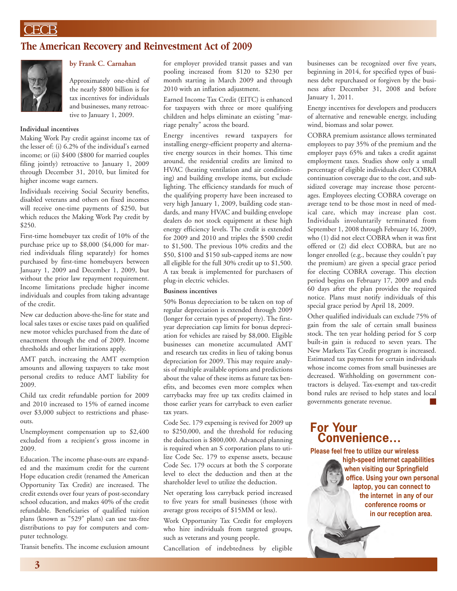### **The American Recovery and Reinvestment Act of 2009**



#### **by Frank C. Carnahan**

Approximately one-third of the nearly \$800 billion is for tax incentives for individuals and businesses, many retroactive to January 1, 2009.

#### **Individual incentives**

Making Work Pay credit against income tax of the lesser of: (i) 6.2% of the individual's earned income; or (ii) \$400 (\$800 for married couples filing jointly) retroactive to January 1, 2009 through December 31, 2010, but limited for higher income wage earners.

Individuals receiving Social Security benefits, disabled veterans and others on fixed incomes will receive one-time payments of \$250, but which reduces the Making Work Pay credit by \$250.

First-time homebuyer tax credit of 10% of the purchase price up to \$8,000 (\$4,000 for married individuals filing separately) for homes purchased by first-time homebuyers between January 1, 2009 and December 1, 2009, but without the prior law repayment requirement. Income limitations preclude higher income individuals and couples from taking advantage of the credit.

New car deduction above-the-line for state and local sales taxes or excise taxes paid on qualified new motor vehicles purchased from the date of enactment through the end of 2009. Income thresholds and other limitations apply.

AMT patch, increasing the AMT exemption amounts and allowing taxpayers to take most personal credits to reduce AMT liability for 2009.

Child tax credit refundable portion for 2009 and 2010 increased to 15% of earned income over \$3,000 subject to restrictions and phaseouts.

Unemployment compensation up to \$2,400 excluded from a recipient's gross income in 2009.

Education. The income phase-outs are expanded and the maximum credit for the current Hope education credit (renamed the American Opportunity Tax Credit) are increased. The credit extends over four years of post-secondary school education, and makes 40% of the credit refundable. Beneficiaries of qualified tuition plans (known as "529" plans) can use tax-free distributions to pay for computers and computer technology.

Transit benefits. The income exclusion amount

for employer provided transit passes and van pooling increased from \$120 to \$230 per month starting in March 2009 and through 2010 with an inflation adjustment.

Earned Income Tax Credit (EITC) is enhanced for taxpayers with three or more qualifying children and helps eliminate an existing "marriage penalty" across the board.

Energy incentives reward taxpayers for installing energy-efficient property and alternative energy sources in their homes. This time around, the residential credits are limited to HVAC (heating ventilation and air conditioning) and building envelope items, but exclude lighting. The efficiency standards for much of the qualifying property have been increased to very high January 1, 2009, building code standards, and many HVAC and building envelope dealers do not stock equipment at these high energy efficiency levels. The credit is extended for 2009 and 2010 and triples the \$500 credit to \$1,500. The previous 10% credits and the \$50, \$100 and \$150 sub-capped items are now all eligible for the full 30% credit up to \$1,500. A tax break is implemented for purchasers of plug-in electric vehicles.

#### **Business incentives**

50% Bonus depreciation to be taken on top of regular depreciation is extended through 2009 (longer for certain types of property). The firstyear depreciation cap limits for bonus depreciation for vehicles are raised by \$8,000. Eligible businesses can monetize accumulated AMT and research tax credits in lieu of taking bonus depreciation for 2009. This may require analysis of multiple available options and predictions about the value of these items as future tax benefits, and becomes even more complex when carrybacks may free up tax credits claimed in those earlier years for carryback to even earlier tax years.

Code Sec. 179 expensing is revived for 2009 up to \$250,000, and the threshold for reducing the deduction is \$800,000. Advanced planning is required when an S corporation plans to utilize Code Sec. 179 to expense assets, because Code Sec. 179 occurs at both the S corporate level to elect the deduction and then at the shareholder level to utilize the deduction.

Net operating loss carryback period increased to five years for small businesses (those with average gross receipts of \$15MM or less).

Work Opportunity Tax Credit for employers who hire individuals from targeted groups, such as veterans and young people.

Cancellation of indebtedness by eligible

businesses can be recognized over five years, beginning in 2014, for specified types of business debt repurchased or forgiven by the business after December 31, 2008 and before January 1, 2011.

Energy incentives for developers and producers of alternative and renewable energy, including wind, biomass and solar power.

COBRA premium assistance allows terminated employees to pay 35% of the premium and the employer pays 65% and takes a credit against employment taxes. Studies show only a small percentage of eligible individuals elect COBRA continuation coverage due to the cost, and subsidized coverage may increase those percentages. Employees electing COBRA coverage on average tend to be those most in need of medical care, which may increase plan cost. Individuals involuntarily terminated from September 1, 2008 through February 16, 2009, who (1) did not elect COBRA when it was first offered or (2) did elect COBRA, but are no longer enrolled (e.g., because they couldn't pay the premium) are given a special grace period for electing COBRA coverage. This election period begins on February 17, 2009 and ends 60 days after the plan provides the required notice. Plans must notify individuals of this special grace period by April 18, 2009.

Other qualified individuals can exclude 75% of gain from the sale of certain small business stock. The ten year holding period for S corp built-in gain is reduced to seven years. The New Markets Tax Credit program is increased. Estimated tax payments for certain individuals whose income comes from small businesses are decreased. Withholding on government contractors is delayed. Tax-exempt and tax-credit bond rules are revised to help states and local governments generate revenue.

### **For Your Convenience…**

**Please feel free to utilize our wireless**

**high-speed internet capabilities when visiting our Springfield office. Using your own personal laptop, you can connect to the internet in any of our conference rooms or in our reception area.**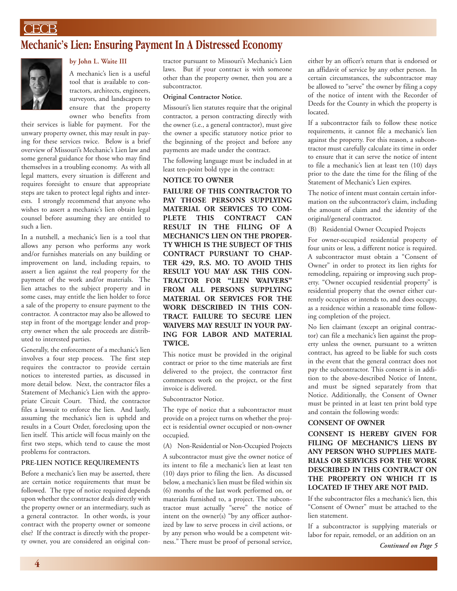### **CECB**

### **Mechanic's Lien: Ensuring Payment In A Distressed Economy**



#### **by John L. Waite III**

A mechanic's lien is a useful tool that is available to contractors, architects, engineers, surveyors, and landscapers to ensure that the property owner who benefits from

their services is liable for payment. For the unwary property owner, this may result in paying for these services twice. Below is a brief overview of Missouri's Mechanic's Lien law and some general guidance for those who may find themselves in a troubling economy. As with all legal matters, every situation is different and requires foresight to ensure that appropriate steps are taken to protect legal rights and interests. I strongly recommend that anyone who wishes to assert a mechanic's lien obtain legal counsel before assuming they are entitled to such a lien.

In a nutshell, a mechanic's lien is a tool that allows any person who performs any work and/or furnishes materials on any building or improvement on land, including repairs, to assert a lien against the real property for the payment of the work and/or materials. The lien attaches to the subject property and in some cases, may entitle the lien holder to force a sale of the property to ensure payment to the contractor. A contractor may also be allowed to step in front of the mortgage lender and property owner when the sale proceeds are distributed to interested parties.

Generally, the enforcement of a mechanic's lien involves a four step process. The first step requires the contractor to provide certain notices to interested parties, as discussed in more detail below. Next, the contractor files a Statement of Mechanic's Lien with the appropriate Circuit Court. Third, the contractor files a lawsuit to enforce the lien. And lastly, assuming the mechanic's lien is upheld and results in a Court Order, foreclosing upon the lien itself. This article will focus mainly on the first two steps, which tend to cause the most problems for contractors.

#### **PRE-LIEN NOTICE REQUIREMENTS**

Before a mechanic's lien may be asserted, there are certain notice requirements that must be followed. The type of notice required depends upon whether the contractor deals directly with the property owner or an intermediary, such as a general contractor. In other words, is your contract with the property owner or someone else? If the contract is directly with the property owner, you are considered an original contractor pursuant to Missouri's Mechanic's Lien laws. But if your contract is with someone other than the property owner, then you are a subcontractor.

#### **Original Contractor Notice.**

Missouri's lien statutes require that the original contractor, a person contracting directly with the owner (i.e., a general contractor), must give the owner a specific statutory notice prior to the beginning of the project and before any payments are made under the contract.

The following language must be included in at least ten-point bold type in the contract:

#### **NOTICE TO OWNER**

**FAILURE OF THIS CONTRACTOR TO PAY THOSE PERSONS SUPPLYING MATERIAL OR SERVICES TO COM-PLETE THIS CONTRACT CAN RESULT IN THE FILING OF A MECHANIC'S LIEN ON THE PROPER-TY WHICH IS THE SUBJECT OF THIS CONTRACT PURSUANT TO CHAP-TER 429, R.S. MO. TO AVOID THIS RESULT YOU MAY ASK THIS CON-TRACTOR FOR "LIEN WAIVERS" FROM ALL PERSONS SUPPLYING MATERIAL OR SERVICES FOR THE WORK DESCRIBED IN THIS CON-TRACT. FAILURE TO SECURE LIEN WAIVERS MAY RESULT IN YOUR PAY-ING FOR LABOR AND MATERIAL TWICE.**

This notice must be provided in the original contract or prior to the time materials are first delivered to the project, the contractor first commences work on the project, or the first invoice is delivered.

Subcontractor Notice.

The type of notice that a subcontractor must provide on a project turns on whether the project is residential owner occupied or non-owner occupied.

(A) Non-Residential or Non-Occupied Projects

A subcontractor must give the owner notice of its intent to file a mechanic's lien at least ten (10) days prior to filing the lien. As discussed below, a mechanic's lien must be filed within six (6) months of the last work performed on, or materials furnished to, a project. The subcontractor must actually "serve" the notice of intent on the owner(s) "by any officer authorized by law to serve process in civil actions, or by any person who would be a competent witness." There must be proof of personal service,

either by an officer's return that is endorsed or an affidavit of service by any other person. In certain circumstances, the subcontractor may be allowed to "serve" the owner by filing a copy of the notice of intent with the Recorder of Deeds for the County in which the property is located.

If a subcontractor fails to follow these notice requirements, it cannot file a mechanic's lien against the property. For this reason, a subcontractor must carefully calculate its time in order to ensure that it can serve the notice of intent to file a mechanic's lien at least ten (10) days prior to the date the time for the filing of the Statement of Mechanic's Lien expires.

The notice of intent must contain certain information on the subcontractor's claim, including the amount of claim and the identity of the original/general contractor.

(B) Residential Owner Occupied Projects

For owner-occupied residential property of four units or less, a different notice is required. A subcontractor must obtain a "Consent of Owner" in order to protect its lien rights for remodeling, repairing or improving such property. "Owner occupied residential property" is residential property that the owner either currently occupies or intends to, and does occupy, as a residence within a reasonable time following completion of the project.

No lien claimant (except an original contractor) can file a mechanic's lien against the property unless the owner, pursuant to a written contract, has agreed to be liable for such costs in the event that the general contract does not pay the subcontractor. This consent is in addition to the above-described Notice of Intent, and must be signed separately from that Notice. Additionally, the Consent of Owner must be printed in at least ten print bold type and contain the following words:

#### **CONSENT OF OWNER**

**CONSENT IS HEREBY GIVEN FOR FILING OF MECHANIC'S LIENS BY ANY PERSON WHO SUPPLIES MATE-RIALS OR SERVICES FOR THE WORK DESCRIBED IN THIS CONTRACT ON THE PROPERTY ON WHICH IT IS LOCATED IF THEY ARE NOT PAID.**

If the subcontractor files a mechanic's lien, this "Consent of Owner" must be attached to the lien statement.

If a subcontractor is supplying materials or labor for repair, remodel, or an addition on an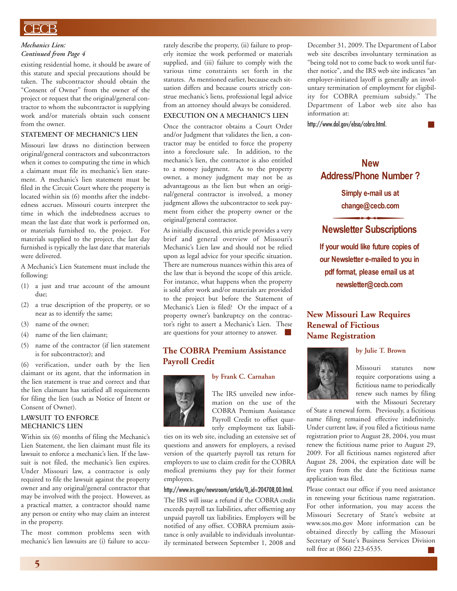#### *Mechanics Lien: Continued from Page 4*

existing residential home, it should be aware of this statute and special precautions should be taken. The subcontractor should obtain the "Consent of Owner" from the owner of the project or request that the original/general contractor to whom the subcontractor is supplying work and/or materials obtain such consent from the owner.

#### **STATEMENT OF MECHANIC'S LIEN**

Missouri law draws no distinction between original/general contractors and subcontractors when it comes to computing the time in which a claimant must file its mechanic's lien statement. A mechanic's lien statement must be filed in the Circuit Court where the property is located within six (6) months after the indebtedness accrues. Missouri courts interpret the time in which the indebtedness accrues to mean the last date that work is performed on, or materials furnished to, the project. For materials supplied to the project, the last day furnished is typically the last date that materials were delivered.

A Mechanic's Lien Statement must include the following:

- (1) a just and true account of the amount due;
- (2) a true description of the property, or so near as to identify the same;
- (3) name of the owner;
- (4) name of the lien claimant;
- (5) name of the contractor (if lien statement is for subcontractor); and

(6) verification, under oath by the lien claimant or its agent, that the information in the lien statement is true and correct and that the lien claimant has satisfied all requirements for filing the lien (such as Notice of Intent or Consent of Owner).

#### **LAWSUIT TO ENFORCE MECHANIC'S LIEN**

Within six (6) months of filing the Mechanic's Lien Statement, the lien claimant must file its lawsuit to enforce a mechanic's lien. If the lawsuit is not filed, the mechanic's lien expires. Under Missouri law, a contractor is only required to file the lawsuit against the property owner and any original/general contractor that may be involved with the project. However, as a practical matter, a contractor should name any person or entity who may claim an interest in the property.

The most common problems seen with mechanic's lien lawsuits are (i) failure to accu-

rately describe the property, (ii) failure to properly itemize the work performed or materials supplied, and (iii) failure to comply with the various time constraints set forth in the statutes. As mentioned earlier, because each situation differs and because courts strictly construe mechanic's liens, professional legal advice from an attorney should always be considered.

#### **EXECUTION ON A MECHANIC'S LIEN**

Once the contractor obtains a Court Order and/or Judgment that validates the lien, a contractor may be entitled to force the property into a foreclosure sale. In addition, to the mechanic's lien, the contractor is also entitled to a money judgment. As to the property owner, a money judgment may not be as advantageous as the lien but when an original/general contractor is involved, a money judgment allows the subcontractor to seek payment from either the property owner or the original/general contractor.

As initially discussed, this article provides a very brief and general overview of Missouri's Mechanic's Lien law and should not be relied upon as legal advice for your specific situation. There are numerous nuances within this area of the law that is beyond the scope of this article. For instance, what happens when the property is sold after work and/or materials are provided to the project but before the Statement of Mechanic's Lien is filed? Or the impact of a property owner's bankruptcy on the contractor's right to assert a Mechanic's Lien. These are questions for your attorney to answer. **■**

#### **The COBRA Premium Assistance Payroll Credit**

#### **by Frank C. Carnahan**



The IRS unveiled new information on the use of the COBRA Premium Assistance Payroll Credit to offset quarterly employment tax liabili-

ties on its web site, including an extensive set of questions and answers for employers, a revised version of the quarterly payroll tax return for employers to use to claim credit for the COBRA medical premiums they pay for their former employees.

#### http://www.irs.gov/newsroom/article/0,,id=204708,00.html.

The IRS will issue a refund if the COBRA credit exceeds payroll tax liabilities, after offsetting any unpaid payroll tax liabilities. Employers will be notified of any offset. COBRA premium assistance is only available to individuals involuntarily terminated between September 1, 2008 and December 31, 2009. The Department of Labor web site describes involuntary termination as "being told not to come back to work until further notice", and the IRS web site indicates "an employer-initiated layoff is generally an involuntary termination of employment for eligibility for COBRA premium subsidy." The Department of Labor web site also has information at:

**■**

http://www.dol.gov/ebsa/cobra.html.

### **New Address/Phone Number ?**

dress/Phone Number<br>
Simply e-mail us at<br>
change@cecb.com<br>
wsletter Subscriptic **Simply e-mail us at change@cecb.com**

### **Newsletter Subscriptions**

**If your would like future copies of our Newsletter e-mailed to you in pdf format, please email us at newsletter@cecb.com**

### **New Missouri Law Requires Renewal of Fictious Name Registration**



Missouri statutes now require corporations using a fictitious name to periodically renew such names by filing with the Missouri Secretary

**by Julie T. Brown**

of State a renewal form. Previously, a fictitious name filing remained effective indefinitely. Under current law, if you filed a fictitious name registration prior to August 28, 2004, you must renew the fictitious name prior to August 29, 2009. For all fictitious names registered after August 28, 2004, the expiration date will be five years from the date the fictitious name application was filed.

Please contact our office if you need assistance in renewing your fictitious name registration. For other information, you may access the Missouri Secretary of State's website at www.sos.mo.gov More information can be obtained directly by calling the Missouri Secretary of State's Business Services Division toll free at (866) 223-6535. **■**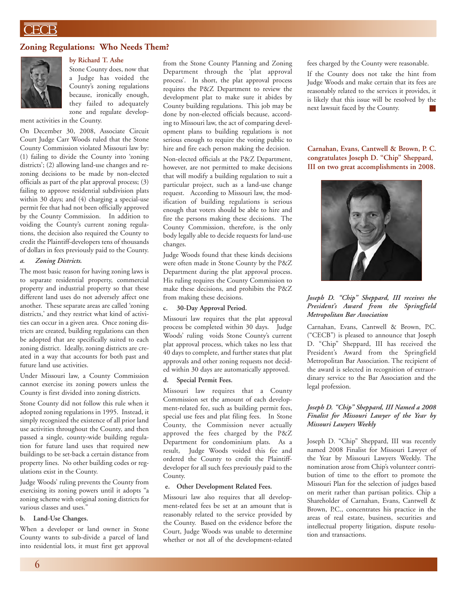### ECB

#### **Zoning Regulations: Who Needs Them?**



### **by Richard T. Ashe**

Stone County does, now that a Judge has voided the County's zoning regulations because, ironically enough, they failed to adequately zone and regulate develop-

ment activities in the County.

On December 30, 2008, Associate Circuit Court Judge Carr Woods ruled that the Stone County Commission violated Missouri law by: (1) failing to divide the County into 'zoning districts'; (2) allowing land-use changes and rezoning decisions to be made by non-elected officials as part of the plat approval process; (3) failing to approve residential subdivision plats within 30 days; and (4) charging a special-use permit fee that had not been officially approved by the County Commission. In addition to voiding the County's current zoning regulations, the decision also required the County to credit the Plaintiff-developers tens of thousands of dollars in fees previously paid to the County.

#### *a. Zoning Districts.*

The most basic reason for having zoning laws is to separate residential property, commercial property and industrial property so that these different land uses do not adversely affect one another. These separate areas are called 'zoning districts,' and they restrict what kind of activities can occur in a given area. Once zoning districts are created, building regulations can then be adopted that are specifically suited to each zoning district. Ideally, zoning districts are created in a way that accounts for both past and future land use activities.

Under Missouri law, a County Commission cannot exercise its zoning powers unless the County is first divided into zoning districts.

Stone County did not follow this rule when it adopted zoning regulations in 1995. Instead, it simply recognized the existence of all prior land use activities throughout the County, and then passed a single, county-wide building regulation for future land uses that required new buildings to be set-back a certain distance from property lines. No other building codes or regulations exist in the County.

Judge Woods' ruling prevents the County from exercising its zoning powers until it adopts "a zoning scheme with original zoning districts for various classes and uses."

#### **b. Land-Use Changes.**

When a developer or land owner in Stone County wants to sub-divide a parcel of land into residential lots, it must first get approval from the Stone County Planning and Zoning Department through the 'plat approval process'. In short, the plat approval process requires the P&Z Department to review the development plat to make sure it abides by County building regulations. This job may be done by non-elected officials because, according to Missouri law, the act of comparing development plans to building regulations is not serious enough to require the voting public to hire and fire each person making the decision.

Non-elected officials at the P&Z Department, however, are not permitted to make decisions that will modify a building regulation to suit a particular project, such as a land-use change request. According to Missouri law, the modification of building regulations is serious enough that voters should be able to hire and fire the persons making these decisions. The County Commission, therefore, is the only body legally able to decide requests for land-use changes.

Judge Woods found that these kinds decisions were often made in Stone County by the P&Z Department during the plat approval process. His ruling requires the County Commission to make these decisions, and prohibits the P&Z from making these decisions.

#### **c. 30-Day Approval Period.**

Missouri law requires that the plat approval process be completed within 30 days. Judge Woods' ruling voids Stone County's current plat approval process, which takes no less that 40 days to complete, and further states that plat approvals and other zoning requests not decided within 30 days are automatically approved.

#### **d. Special Permit Fees.**

Missouri law requires that a County Commission set the amount of each development-related fee, such as building permit fees, special use fees and plat filing fees. In Stone County, the Commission never actually approved the fees charged by the P&Z Department for condominium plats. As a result, Judge Woods voided this fee and ordered the County to credit the Plaintiffdeveloper for all such fees previously paid to the County.

#### **e. Other Development Related Fees.**

Missouri law also requires that all development-related fees be set at an amount that is reasonably related to the service provided by the County. Based on the evidence before the Court, Judge Woods was unable to determine whether or not all of the development-related

fees charged by the County were reasonable.

If the County does not take the hint from Judge Woods and make certain that its fees are reasonably related to the services it provides, it is likely that this issue will be resolved by the next lawsuit faced by the County. **■**

#### **Carnahan, Evans, Cantwell & Brown, P. C. congratulates Joseph D. "Chip" Sheppard, III on two great accomplishments in 2008.**



#### *Joseph D. "Chip" Sheppard, III receives the President's Award from the Springfield Metropolitan Bar Association*

Carnahan, Evans, Cantwell & Brown, P.C. ("CECB") is pleased to announce that Joseph D. "Chip" Sheppard, III has received the President's Award from the Springfield Metropolitan Bar Association. The recipient of the award is selected in recognition of extraordinary service to the Bar Association and the legal profession.

#### *Joseph D. "Chip" Sheppard, III Named a 2008 Finalist for Missouri Lawyer of the Year by Missouri Lawyers Weekly*

Joseph D. "Chip" Sheppard, III was recently named 2008 Finalist for Missouri Lawyer of the Year by Missouri Lawyers Weekly. The nomination arose from Chip's volunteer contribution of time to the effort to promote the Missouri Plan for the selection of judges based on merit rather than partisan politics. Chip a Shareholder of Carnahan, Evans, Cantwell & Brown, P.C., concentrates his practice in the areas of real estate, business, securities and intellectual property litigation, dispute resolution and transactions.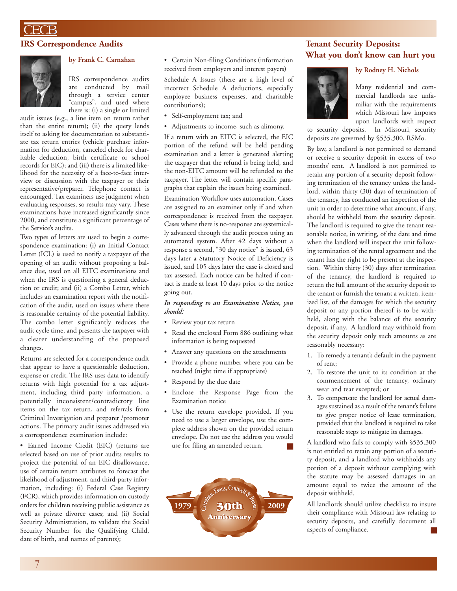### FCB

#### **IRS Correspondence Audits**



#### **by Frank C. Carnahan**

IRS correspondence audits are conducted by mail through a service center "campus", and used where there is: (i) a single or limited

audit issues (e.g., a line item on return rather than the entire return); (ii) the query lends itself to asking for documentation to substantiate tax return entries (vehicle purchase information for deduction, canceled check for charitable deduction, birth certificate or school records for EIC); and (iii) there is a limited likelihood for the necessity of a face-to-face interview or discussion with the taxpayer or their representative/preparer. Telephone contact is encouraged. Tax examiners use judgment when evaluating responses, so results may vary. These examinations have increased significantly since 2000, and constitute a significant percentage of the Service's audits.

Two types of letters are used to begin a correspondence examination: (i) an Initial Contact Letter (ICL) is used to notify a taxpayer of the opening of an audit without proposing a balance due, used on all EITC examinations and when the IRS is questioning a general deduction or credit; and (ii) a Combo Letter, which includes an examination report with the notification of the audit, used on issues where there is reasonable certainty of the potential liability. The combo letter significantly reduces the audit cycle time, and presents the taxpayer with a clearer understanding of the proposed changes.

Returns are selected for a correspondence audit that appear to have a questionable deduction, expense or credit. The IRS uses data to identify returns with high potential for a tax adjustment, including third party information, a potentially inconsistent/contradictory line items on the tax return, and referrals from Criminal Investigation and preparer /promoter actions. The primary audit issues addressed via a correspondence examination include:

• Earned Income Credit (EIC) (returns are selected based on use of prior audits results to project the potential of an EIC disallowance, use of certain return attributes to forecast the likelihood of adjustment, and third-party information, including: (i) Federal Case Registry (FCR), which provides information on custody orders for children receiving public assistance as well as private divorce cases; and (ii) Social Security Administration, to validate the Social Security Number for the Qualifying Child, date of birth, and names of parents);

• Certain Non-filing Conditions (information received from employers and interest payers)

Schedule A Issues (there are a high level of incorrect Schedule A deductions, especially employee business expenses, and charitable contributions);

- Self-employment tax; and
- Adjustments to income, such as alimony.

If a return with an EITC is selected, the EIC portion of the refund will be held pending examination and a letter is generated alerting the taxpayer that the refund is being held, and the non-EITC amount will be refunded to the taxpayer. The letter will contain specific paragraphs that explain the issues being examined. Examination Workflow uses automation. Cases are assigned to an examiner only if and when correspondence is received from the taxpayer. Cases where there is no-response are systemically advanced through the audit process using an automated system. After 42 days without a response a second, "30 day notice" is issued, 63 days later a Statutory Notice of Deficiency is issued, and 105 days later the case is closed and tax assessed. Each notice can be halted if contact is made at least 10 days prior to the notice going out.

*In responding to an Examination Notice, you should:*

- Review your tax return
- Read the enclosed Form 886 outlining what information is being requested
- Answer any questions on the attachments
- Provide a phone number where you can be reached (night time if appropriate)
- Respond by the due date
- Enclose the Response Page from the Examination notice
- Use the return envelope provided. If you need to use a larger envelope, use the complete address shown on the provided return envelope. Do not use the address you would use for filing an amended return. **■**



#### **Tenant Security Deposits: What you don't know can hurt you**

#### **by Rodney H. Nichols**



Many residential and commercial landlords are unfamiliar with the requirements which Missouri law imposes upon landlords with respect

to security deposits. In Missouri, security deposits are governed by §535.300, RSMo.

By law, a landlord is not permitted to demand or receive a security deposit in excess of two months' rent. A landlord is not permitted to retain any portion of a security deposit following termination of the tenancy unless the landlord, within thirty (30) days of termination of the tenancy, has conducted an inspection of the unit in order to determine what amount, if any, should be withheld from the security deposit. The landlord is required to give the tenant reasonable notice, in writing, of the date and time when the landlord will inspect the unit following termination of the rental agreement and the tenant has the right to be present at the inspection. Within thirty (30) days after termination of the tenancy, the landlord is required to return the full amount of the security deposit to the tenant or furnish the tenant a written, itemized list, of the damages for which the security deposit or any portion thereof is to be withheld, along with the balance of the security deposit, if any. A landlord may withhold from the security deposit only such amounts as are reasonably necessary:

- 1. To remedy a tenant's default in the payment of rent;
- 2. To restore the unit to its condition at the commencement of the tenancy, ordinary wear and tear excepted; or
- 3. To compensate the landlord for actual damages sustained as a result of the tenant's failure to give proper notice of lease termination, provided that the landlord is required to take reasonable steps to mitigate its damages.

A landlord who fails to comply with §535.300 is not entitled to retain any portion of a security deposit, and a landlord who withholds any portion of a deposit without complying with the statute may be assessed damages in an amount equal to twice the amount of the deposit withheld.

All landlords should utilize checklists to insure their compliance with Missouri law relating to security deposits, and carefully document all aspects of compliance. **■**